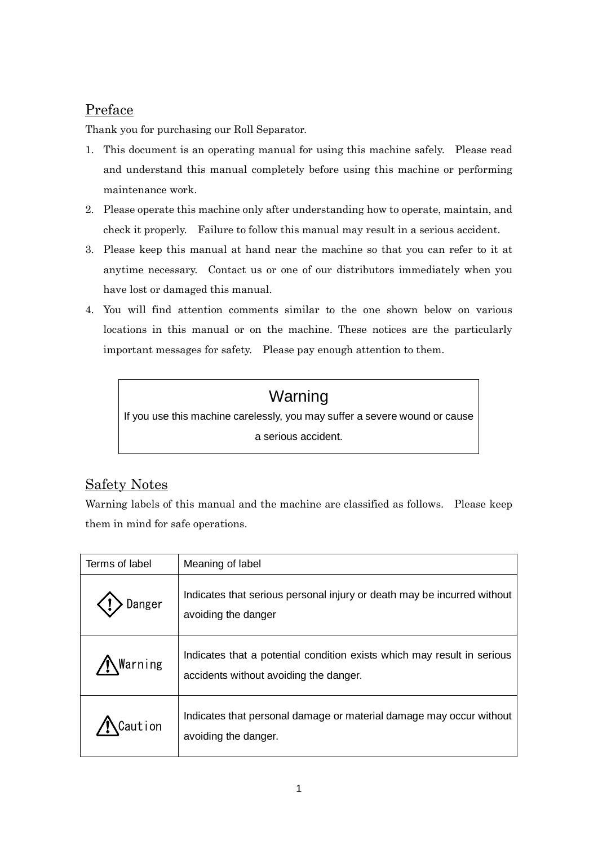## Preface

Thank you for purchasing our Roll Separator.

- 1. This document is an operating manual for using this machine safely. Please read and understand this manual completely before using this machine or performing maintenance work.
- 2. Please operate this machine only after understanding how to operate, maintain, and check it properly. Failure to follow this manual may result in a serious accident.
- 3. Please keep this manual at hand near the machine so that you can refer to it at anytime necessary. Contact us or one of our distributors immediately when you have lost or damaged this manual.
- 4. You will find attention comments similar to the one shown below on various locations in this manual or on the machine. These notices are the particularly important messages for safety. Please pay enough attention to them.

# Warning

If you use this machine carelessly, you may suffer a severe wound or cause a serious accident.

# Safety Notes

Warning labels of this manual and the machine are classified as follows. Please keep them in mind for safe operations.

| Terms of label | Meaning of label                                                                                                  |
|----------------|-------------------------------------------------------------------------------------------------------------------|
| Danger         | Indicates that serious personal injury or death may be incurred without<br>avoiding the danger                    |
| Warning        | Indicates that a potential condition exists which may result in serious<br>accidents without avoiding the danger. |
| ution          | Indicates that personal damage or material damage may occur without<br>avoiding the danger.                       |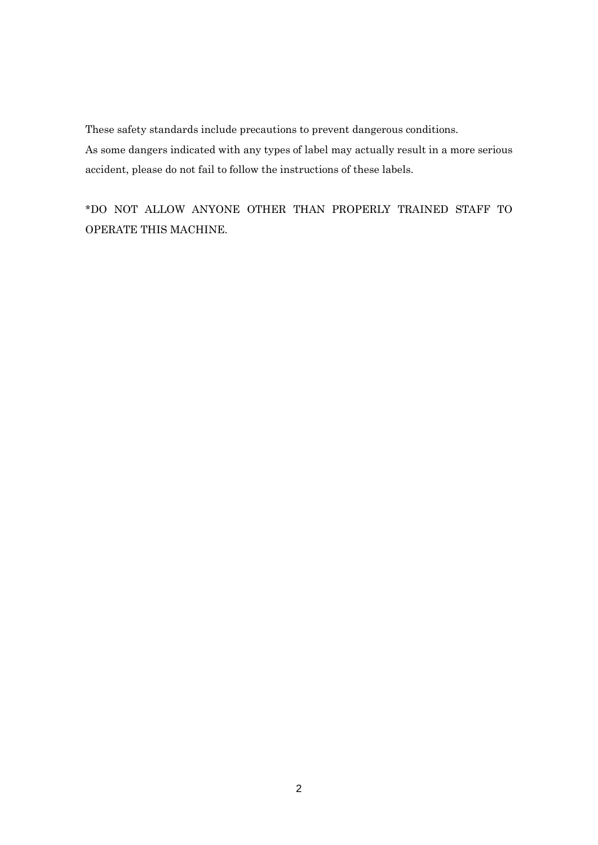These safety standards include precautions to prevent dangerous conditions.

As some dangers indicated with any types of label may actually result in a more serious accident, please do not fail to follow the instructions of these labels.

\*DO NOT ALLOW ANYONE OTHER THAN PROPERLY TRAINED STAFF TO OPERATE THIS MACHINE.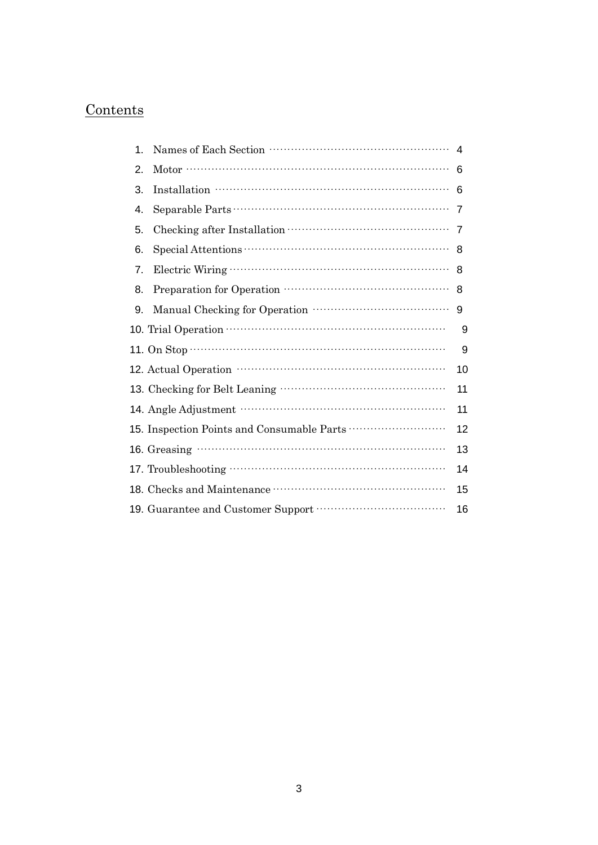# Contents

| 1. |                                                                                                                                                                                                                                                                                                                                                                                                                                                                   | 4              |
|----|-------------------------------------------------------------------------------------------------------------------------------------------------------------------------------------------------------------------------------------------------------------------------------------------------------------------------------------------------------------------------------------------------------------------------------------------------------------------|----------------|
| 2. |                                                                                                                                                                                                                                                                                                                                                                                                                                                                   | 6              |
| 3. | $\label{eq:nonrel} \text{Installation}\text{~~}\cdots\text{~~} \cdots\text{~~} \cdots\text{~~} \cdots\text{~~} \cdots\text{~~} \cdots\text{~~} \cdots\text{~~} \cdots\text{~~} \cdots\text{~~} \cdots\text{~~} \cdots\text{~~} \cdots\text{~~} \cdots\text{~~} \cdots\text{~~} \cdots\text{~~} \cdots\text{~~} \cdots\text{~~} \cdots\text{~~} \cdots\text{~~} \cdots\text{~~} \cdots\text{~~} \cdots\text{~~} \cdots\text{~~} \cdots\text{~~} \cdots\text{~~} \$ | 6              |
| 4. |                                                                                                                                                                                                                                                                                                                                                                                                                                                                   | $\overline{7}$ |
| 5. |                                                                                                                                                                                                                                                                                                                                                                                                                                                                   | $\overline{7}$ |
| 6. |                                                                                                                                                                                                                                                                                                                                                                                                                                                                   | 8              |
| 7. |                                                                                                                                                                                                                                                                                                                                                                                                                                                                   | 8              |
| 8. |                                                                                                                                                                                                                                                                                                                                                                                                                                                                   | 8              |
| 9. |                                                                                                                                                                                                                                                                                                                                                                                                                                                                   | 9              |
|    |                                                                                                                                                                                                                                                                                                                                                                                                                                                                   | 9              |
|    | 11. On Stop $\cdots$ $\cdots$ $\cdots$ $\cdots$ $\cdots$ $\cdots$ $\cdots$ $\cdots$ $\cdots$ $\cdots$ $\cdots$ $\cdots$ $\cdots$ $\cdots$ $\cdots$ $\cdots$ $\cdots$ $\cdots$ $\cdots$ $\cdots$ $\cdots$ $\cdots$ $\cdots$ $\cdots$ $\cdots$ $\cdots$ $\cdots$ $\cdots$ $\cdots$ $\cdots$ $\cdots$ $\cdots$ $\cdots$ $\cdots$ $\cdots$                                                                                                                            | 9              |
|    |                                                                                                                                                                                                                                                                                                                                                                                                                                                                   | 10             |
|    |                                                                                                                                                                                                                                                                                                                                                                                                                                                                   | 11             |
|    |                                                                                                                                                                                                                                                                                                                                                                                                                                                                   | 11             |
|    | 15. Inspection Points and Consumable Parts                                                                                                                                                                                                                                                                                                                                                                                                                        | 12             |
|    |                                                                                                                                                                                                                                                                                                                                                                                                                                                                   | 13             |
|    |                                                                                                                                                                                                                                                                                                                                                                                                                                                                   | 14             |
|    |                                                                                                                                                                                                                                                                                                                                                                                                                                                                   | 15             |
|    |                                                                                                                                                                                                                                                                                                                                                                                                                                                                   | 16             |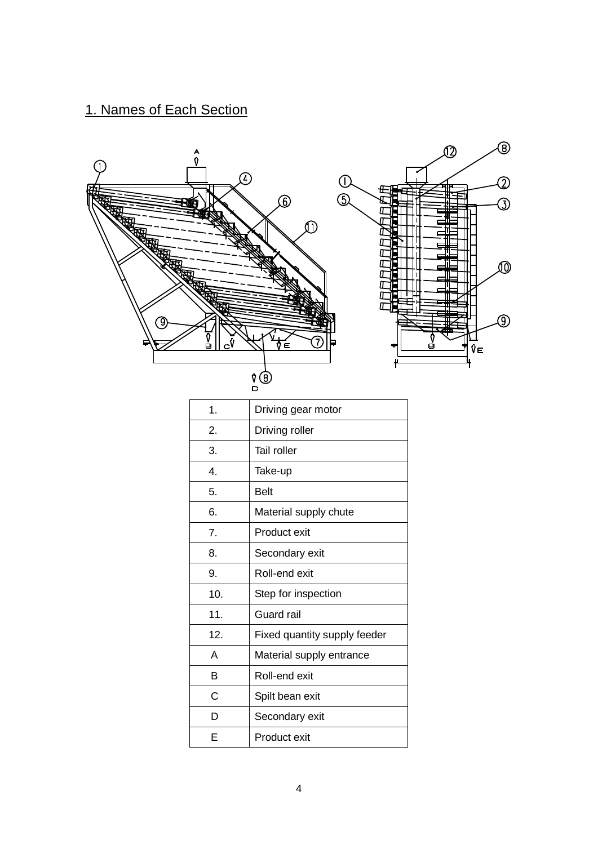# 1. Names of Each Section

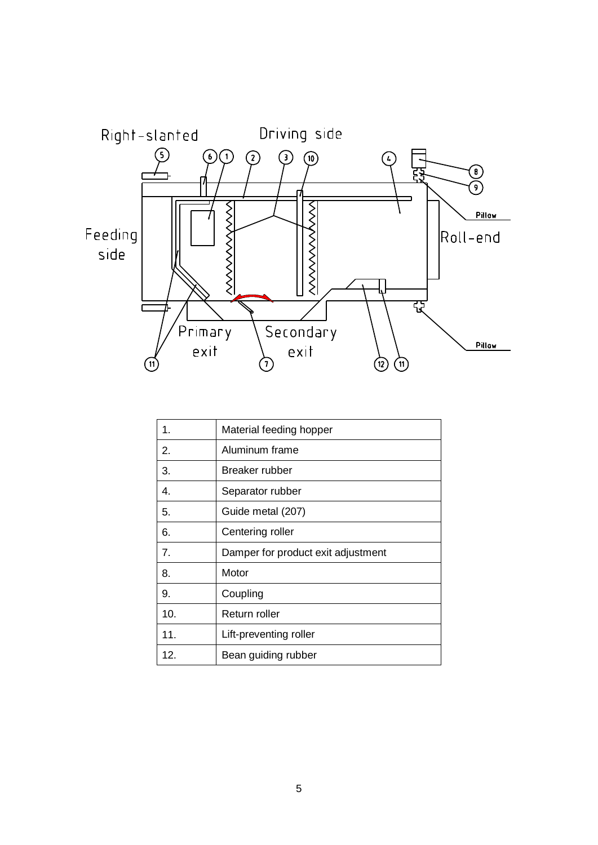

| 1.  | Material feeding hopper            |
|-----|------------------------------------|
| 2.  | Aluminum frame                     |
| 3.  | Breaker rubber                     |
| 4.  | Separator rubber                   |
| 5.  | Guide metal (207)                  |
| 6.  | Centering roller                   |
| 7.  | Damper for product exit adjustment |
| 8.  | Motor                              |
| 9.  | Coupling                           |
| 10. | Return roller                      |
| 11. | Lift-preventing roller             |
| 12. | Bean guiding rubber                |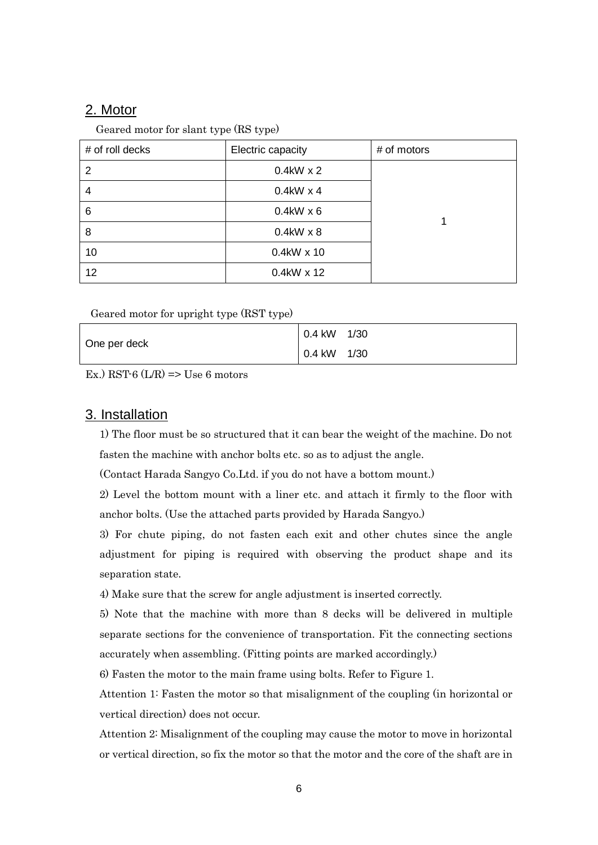### 2. Motor

Geared motor for slant type (RS type)

| # of roll decks | Electric capacity | # of motors |
|-----------------|-------------------|-------------|
| 2               | $0.4$ kW x 2      |             |
| 4               | $0.4$ kW x 4      |             |
| 6               | $0.4$ kW x 6      |             |
| 8               | $0.4kW \times 8$  |             |
| 10              | $0.4$ kW x 10     |             |
| 12              | $0.4$ kW x 12     |             |

Geared motor for upright type (RST type)

|              | 1/30<br>0.4 kW        |
|--------------|-----------------------|
| One per deck | $0.4 \text{ kW}$ 1/30 |

Ex.) RST-6  $(L/R)$  => Use 6 motors

#### 3. Installation

1) The floor must be so structured that it can bear the weight of the machine. Do not fasten the machine with anchor bolts etc. so as to adjust the angle.

(Contact Harada Sangyo Co.Ltd. if you do not have a bottom mount.)

2) Level the bottom mount with a liner etc. and attach it firmly to the floor with anchor bolts. (Use the attached parts provided by Harada Sangyo.)

3) For chute piping, do not fasten each exit and other chutes since the angle adjustment for piping is required with observing the product shape and its separation state.

4) Make sure that the screw for angle adjustment is inserted correctly.

5) Note that the machine with more than 8 decks will be delivered in multiple separate sections for the convenience of transportation. Fit the connecting sections accurately when assembling. (Fitting points are marked accordingly.)

6) Fasten the motor to the main frame using bolts. Refer to Figure 1.

Attention 1: Fasten the motor so that misalignment of the coupling (in horizontal or vertical direction) does not occur.

Attention 2: Misalignment of the coupling may cause the motor to move in horizontal or vertical direction, so fix the motor so that the motor and the core of the shaft are in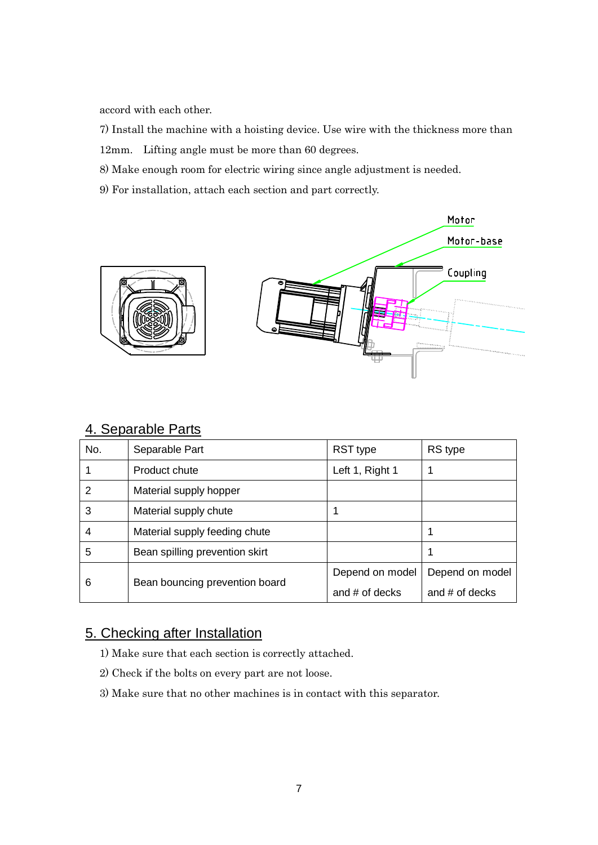accord with each other.

7) Install the machine with a hoisting device. Use wire with the thickness more than 12mm. Lifting angle must be more than 60 degrees.

- 8) Make enough room for electric wiring since angle adjustment is needed.
- 9) For installation, attach each section and part correctly.



| 4. Separable Parts |
|--------------------|
|--------------------|

| No. | Separable Part                 | RST type        | RS type         |
|-----|--------------------------------|-----------------|-----------------|
|     | Product chute                  | Left 1, Right 1 |                 |
| 2   | Material supply hopper         |                 |                 |
| 3   | Material supply chute          |                 |                 |
| 4   | Material supply feeding chute  |                 |                 |
| 5   | Bean spilling prevention skirt |                 | 1               |
| 6   |                                | Depend on model | Depend on model |
|     | Bean bouncing prevention board | and # of decks  | and # of decks  |

## 5. Checking after Installation

- 1) Make sure that each section is correctly attached.
- 2) Check if the bolts on every part are not loose.
- 3) Make sure that no other machines is in contact with this separator.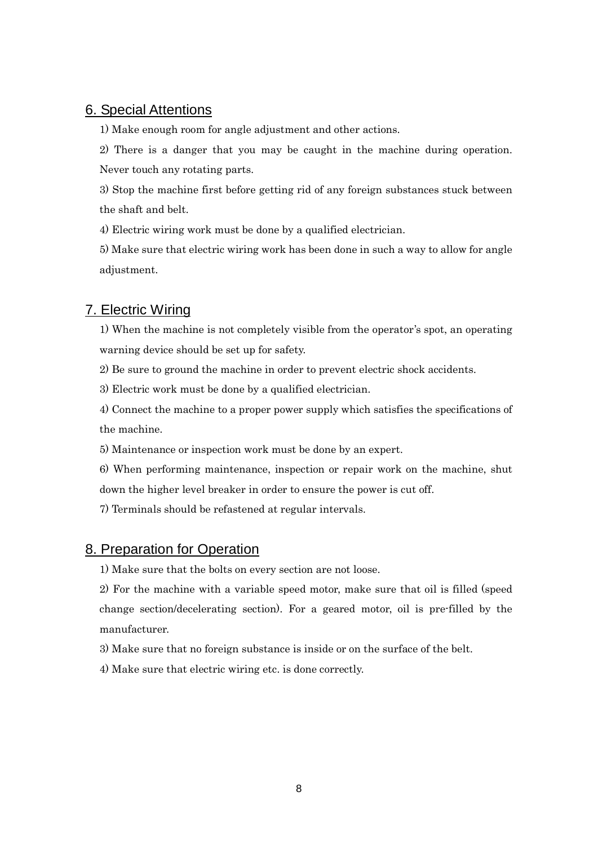### 6. Special Attentions

1) Make enough room for angle adjustment and other actions.

2) There is a danger that you may be caught in the machine during operation. Never touch any rotating parts.

3) Stop the machine first before getting rid of any foreign substances stuck between the shaft and belt.

4) Electric wiring work must be done by a qualified electrician.

5) Make sure that electric wiring work has been done in such a way to allow for angle adjustment.

### 7. Electric Wiring

1) When the machine is not completely visible from the operator's spot, an operating warning device should be set up for safety.

2) Be sure to ground the machine in order to prevent electric shock accidents.

3) Electric work must be done by a qualified electrician.

4) Connect the machine to a proper power supply which satisfies the specifications of the machine.

5) Maintenance or inspection work must be done by an expert.

6) When performing maintenance, inspection or repair work on the machine, shut down the higher level breaker in order to ensure the power is cut off.

7) Terminals should be refastened at regular intervals.

### 8. Preparation for Operation

1) Make sure that the bolts on every section are not loose.

2) For the machine with a variable speed motor, make sure that oil is filled (speed change section/decelerating section). For a geared motor, oil is pre-filled by the manufacturer.

3) Make sure that no foreign substance is inside or on the surface of the belt.

4) Make sure that electric wiring etc. is done correctly.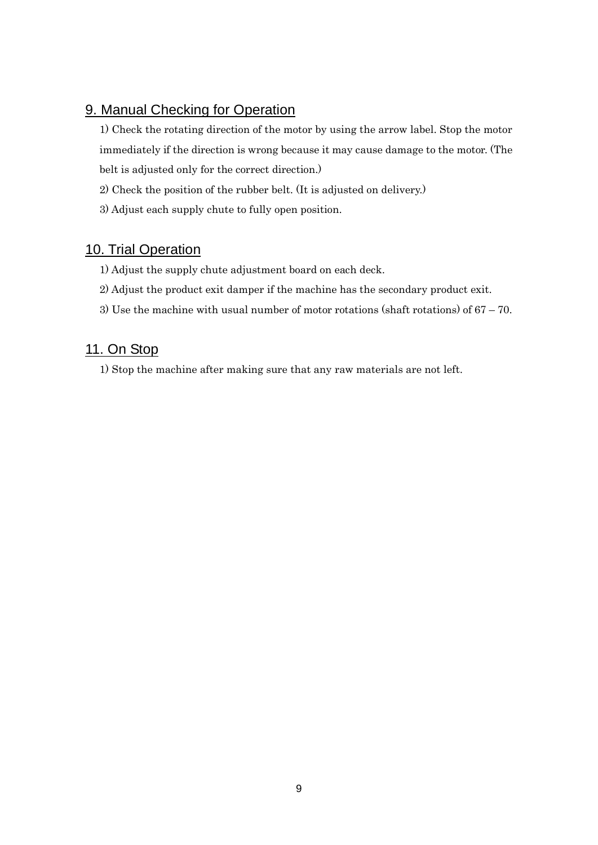## 9. Manual Checking for Operation

1) Check the rotating direction of the motor by using the arrow label. Stop the motor immediately if the direction is wrong because it may cause damage to the motor. (The belt is adjusted only for the correct direction.)

- 2) Check the position of the rubber belt. (It is adjusted on delivery.)
- 3) Adjust each supply chute to fully open position.

## 10. Trial Operation

- 1) Adjust the supply chute adjustment board on each deck.
- 2) Adjust the product exit damper if the machine has the secondary product exit.
- 3) Use the machine with usual number of motor rotations (shaft rotations) of 67 70.

## 11. On Stop

1) Stop the machine after making sure that any raw materials are not left.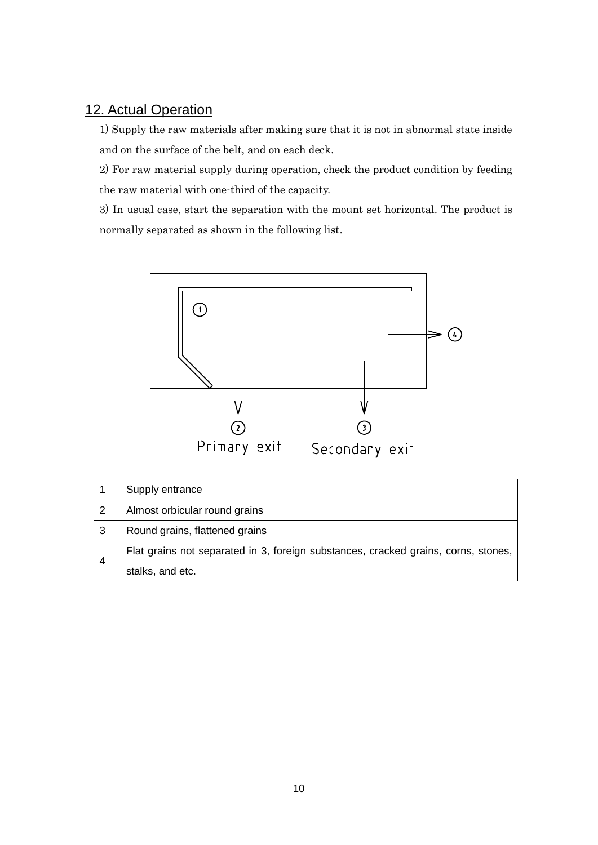## 12. Actual Operation

1) Supply the raw materials after making sure that it is not in abnormal state inside and on the surface of the belt, and on each deck.

2) For raw material supply during operation, check the product condition by feeding the raw material with one-third of the capacity.

3) In usual case, start the separation with the mount set horizontal. The product is normally separated as shown in the following list.



|                | Supply entrance                                                                    |
|----------------|------------------------------------------------------------------------------------|
| -2             | Almost orbicular round grains                                                      |
| 3              | Round grains, flattened grains                                                     |
| $\overline{4}$ | Flat grains not separated in 3, foreign substances, cracked grains, corns, stones, |
|                | stalks, and etc.                                                                   |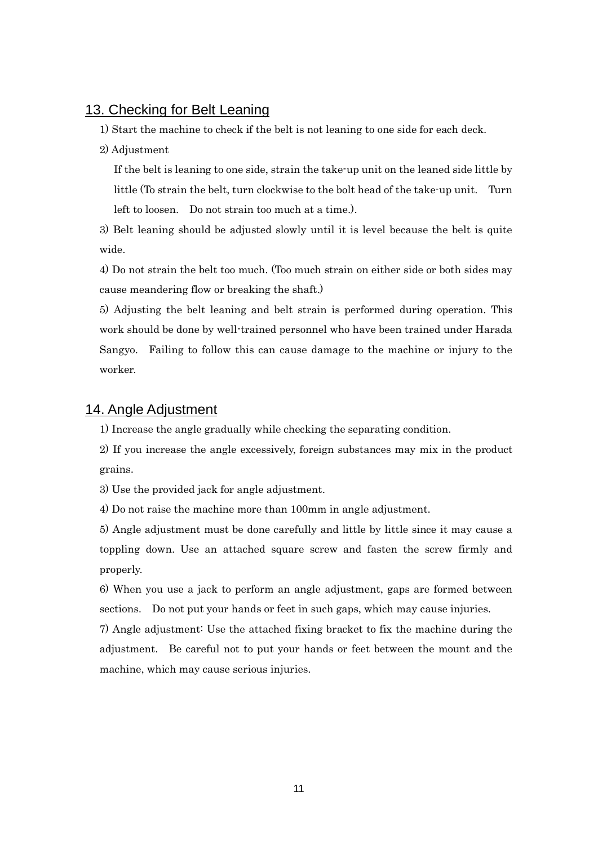#### 13. Checking for Belt Leaning

1) Start the machine to check if the belt is not leaning to one side for each deck.

#### 2) Adjustment

If the belt is leaning to one side, strain the take-up unit on the leaned side little by little (To strain the belt, turn clockwise to the bolt head of the take-up unit. Turn left to loosen. Do not strain too much at a time.).

3) Belt leaning should be adjusted slowly until it is level because the belt is quite wide.

4) Do not strain the belt too much. (Too much strain on either side or both sides may cause meandering flow or breaking the shaft.)

5) Adjusting the belt leaning and belt strain is performed during operation. This work should be done by well-trained personnel who have been trained under Harada Sangyo. Failing to follow this can cause damage to the machine or injury to the worker.

#### 14. Angle Adjustment

1) Increase the angle gradually while checking the separating condition.

2) If you increase the angle excessively, foreign substances may mix in the product grains.

3) Use the provided jack for angle adjustment.

4) Do not raise the machine more than 100mm in angle adjustment.

5) Angle adjustment must be done carefully and little by little since it may cause a toppling down. Use an attached square screw and fasten the screw firmly and properly.

6) When you use a jack to perform an angle adjustment, gaps are formed between sections. Do not put your hands or feet in such gaps, which may cause injuries.

7) Angle adjustment: Use the attached fixing bracket to fix the machine during the adjustment. Be careful not to put your hands or feet between the mount and the machine, which may cause serious injuries.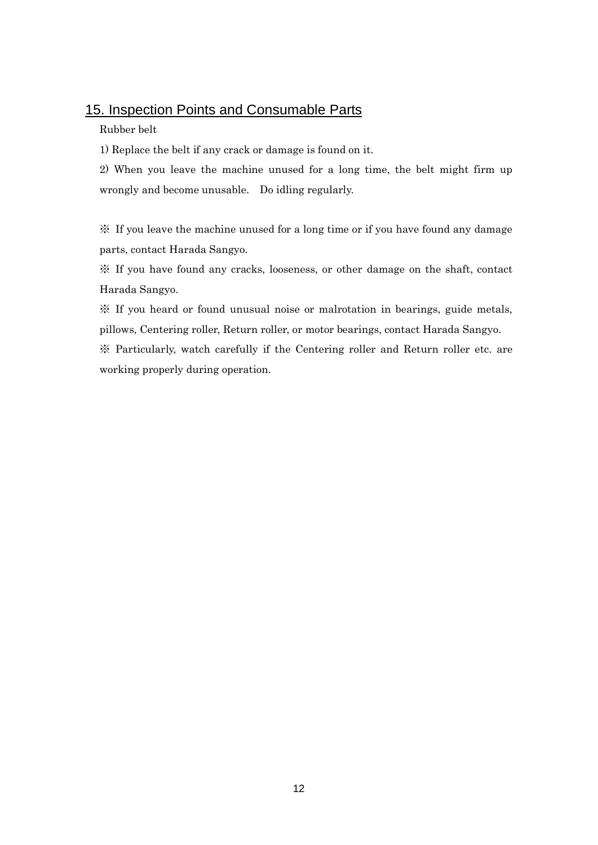### 15. Inspection Points and Consumable Parts

#### Rubber belt

1) Replace the belt if any crack or damage is found on it.

2) When you leave the machine unused for a long time, the belt might firm up wrongly and become unusable. Do idling regularly.

※ If you leave the machine unused for a long time or if you have found any damage parts, contact Harada Sangyo.

※ If you have found any cracks, looseness, or other damage on the shaft, contact Harada Sangyo.

※ If you heard or found unusual noise or malrotation in bearings, guide metals, pillows, Centering roller, Return roller, or motor bearings, contact Harada Sangyo.

※ Particularly, watch carefully if the Centering roller and Return roller etc. are working properly during operation.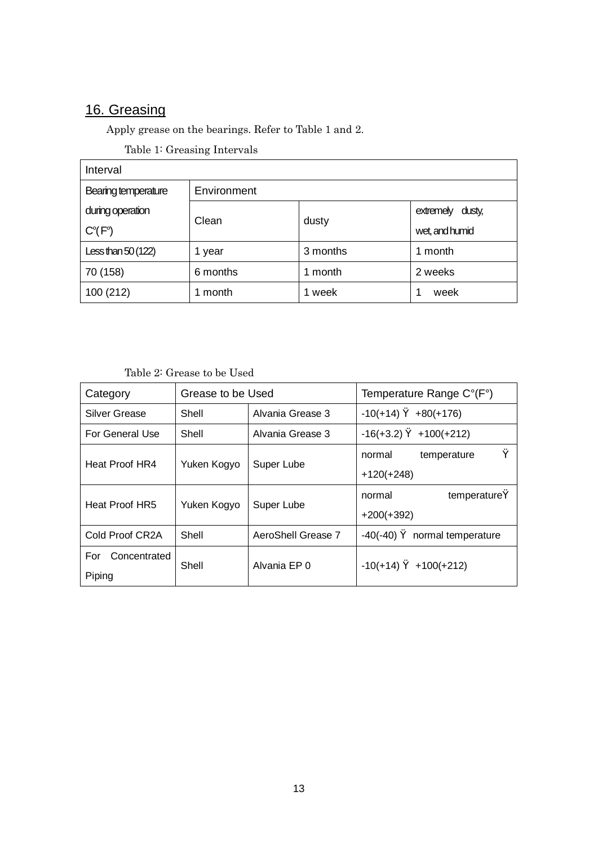# 16. Greasing

Apply grease on the bearings. Refer to Table 1 and 2.

Table 1: Greasing Intervals

| Interval            |             |          |                  |  |
|---------------------|-------------|----------|------------------|--|
| Bearing temperature | Environment |          |                  |  |
| during operation    |             |          | extremely dusty, |  |
| $C^{\circ}$ (F°)    | Clean       | dusty    | wet, and humid   |  |
| Less than $50(122)$ | 1 year      | 3 months | 1 month          |  |
| 70 (158)            | 6 months    | 1 month  | 2 weeks          |  |
| 100 (212)           | 1 month     | 1 week   | week             |  |

#### Table 2: Grease to be Used

| Category             | Grease to be Used |                    | Temperature Range C°(F°) |                    |  |
|----------------------|-------------------|--------------------|--------------------------|--------------------|--|
| <b>Silver Grease</b> | Shell             | Alvania Grease 3   | $-10(+14)$               | $+80(+176)$        |  |
| For General Use      | Shell             | Alvania Grease 3   | $-16(+3.2)$              | $+100(+212)$       |  |
|                      |                   | normal             | temperature              |                    |  |
| Heat Proof HR4       | Yuken Kogyo       | Super Lube         | $+120(+248)$             |                    |  |
| Heat Proof HR5       | Yuken Kogyo       | Super Lube         | normal                   | temperature        |  |
|                      |                   |                    | $+200(+392)$             |                    |  |
| Cold Proof CR2A      | Shell             | AeroShell Grease 7 | $-40(-40)$               | normal temperature |  |
| For<br>Concentrated  | Shell             | Alvania EP 0       |                          |                    |  |
| Piping               |                   |                    | $-10(+14)$               | $+100(+212)$       |  |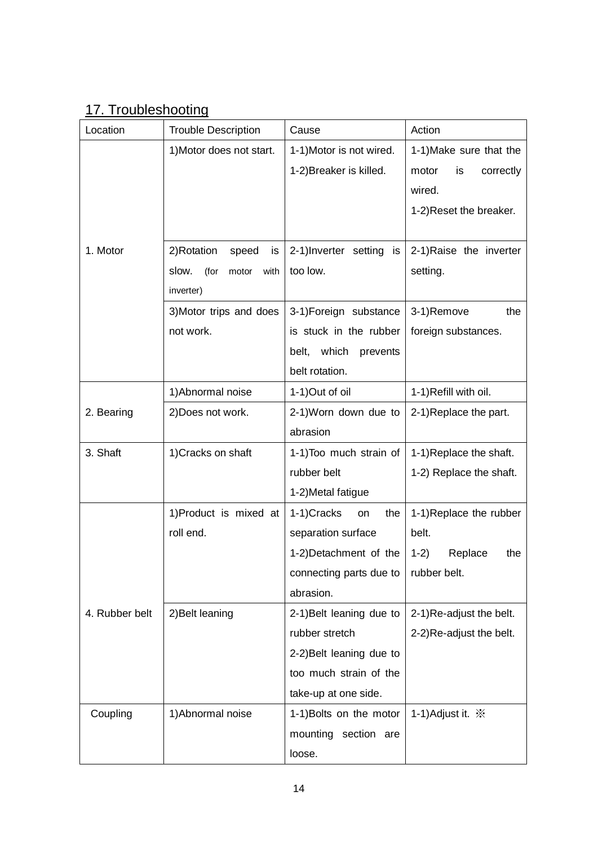# 17. Troubleshooting

| Location       | <b>Trouble Description</b>     | Cause                      | Action                        |
|----------------|--------------------------------|----------------------------|-------------------------------|
|                | 1) Motor does not start.       | 1-1) Motor is not wired.   | 1-1) Make sure that the       |
|                |                                | 1-2) Breaker is killed.    | is<br>motor<br>correctly      |
|                |                                |                            | wired.                        |
|                |                                |                            | 1-2) Reset the breaker.       |
|                |                                |                            |                               |
| 1. Motor       | 2) Rotation<br>speed<br>is     | 2-1)Inverter setting is    | 2-1) Raise the inverter       |
|                | slow.<br>(for<br>with<br>motor | too low.                   | setting.                      |
|                | inverter)                      |                            |                               |
|                | 3) Motor trips and does        | 3-1)Foreign substance      | 3-1)Remove<br>the             |
|                | not work.                      | is stuck in the rubber     | foreign substances.           |
|                |                                | which<br>belt,<br>prevents |                               |
|                |                                | belt rotation.             |                               |
|                | 1) Abnormal noise              | 1-1) Out of oil            | 1-1) Refill with oil.         |
| 2. Bearing     | 2) Does not work.              | 2-1) Worn down due to      | 2-1)Replace the part.         |
|                |                                | abrasion                   |                               |
| 3. Shaft       | 1) Cracks on shaft             | 1-1) Too much strain of    | 1-1) Replace the shaft.       |
|                |                                | rubber belt                | 1-2) Replace the shaft.       |
|                |                                | 1-2) Metal fatigue         |                               |
|                | 1) Product is mixed at         | 1-1)Cracks<br>the<br>on    | 1-1) Replace the rubber       |
|                | roll end.                      | separation surface         | belt.                         |
|                |                                | 1-2) Detachment of the     | Replace<br>$1-2)$<br>the      |
|                |                                | connecting parts due to    | rubber belt.                  |
|                |                                | abrasion.                  |                               |
| 4. Rubber belt | 2) Belt leaning                | 2-1) Belt leaning due to   | 2-1)Re-adjust the belt.       |
|                |                                | rubber stretch             | 2-2)Re-adjust the belt.       |
|                |                                | 2-2) Belt leaning due to   |                               |
|                |                                | too much strain of the     |                               |
|                |                                | take-up at one side.       |                               |
| Coupling       | 1) Abnormal noise              | 1-1) Bolts on the motor    | 1-1) Adjust it. $\frac{1}{2}$ |
|                |                                | mounting section are       |                               |
|                |                                | loose.                     |                               |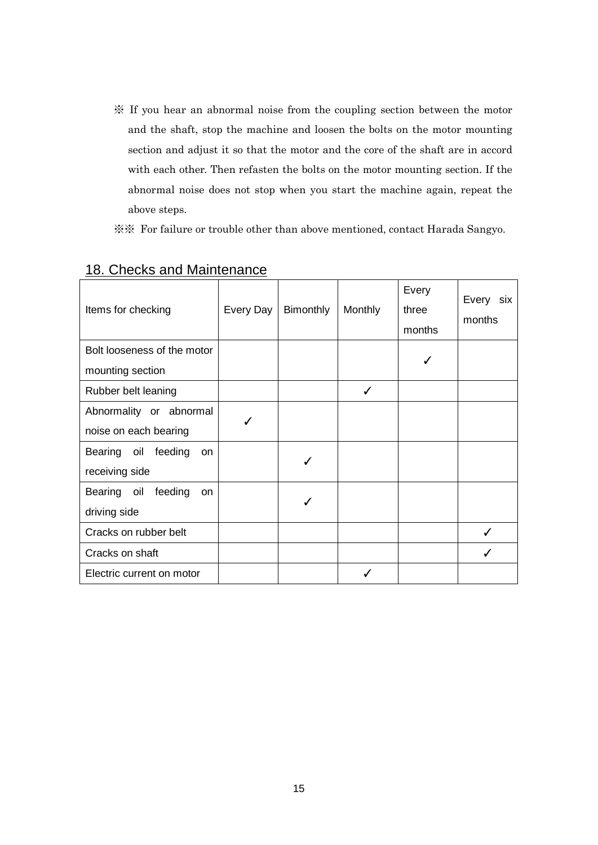- ※ If you hear an abnormal noise from the coupling section between the motor and the shaft, stop the machine and loosen the bolts on the motor mounting section and adjust it so that the motor and the core of the shaft are in accord with each other. Then refasten the bolts on the motor mounting section. If the abnormal noise does not stop when you start the machine again, repeat the above steps.
- ※※ For failure or trouble other than above mentioned, contact Harada Sangyo.

| Items for checking                  | Every Day | Bimonthly | Monthly | Every<br>three<br>months | Every six<br>months |
|-------------------------------------|-----------|-----------|---------|--------------------------|---------------------|
| Bolt looseness of the motor         |           |           |         |                          |                     |
| mounting section                    |           |           |         |                          |                     |
| Rubber belt leaning                 |           |           | ✓       |                          |                     |
| Abnormality or abnormal             | J         |           |         |                          |                     |
| noise on each bearing               |           |           |         |                          |                     |
| Bearing oil<br>feeding<br><b>on</b> |           |           |         |                          |                     |
| receiving side                      |           |           |         |                          |                     |
| feeding<br>Bearing oil<br><b>on</b> |           |           |         |                          |                     |
| driving side                        |           |           |         |                          |                     |
| Cracks on rubber belt               |           |           |         |                          |                     |
| Cracks on shaft                     |           |           |         |                          |                     |
| Electric current on motor           |           |           |         |                          |                     |

#### 18. Checks and Maintenance